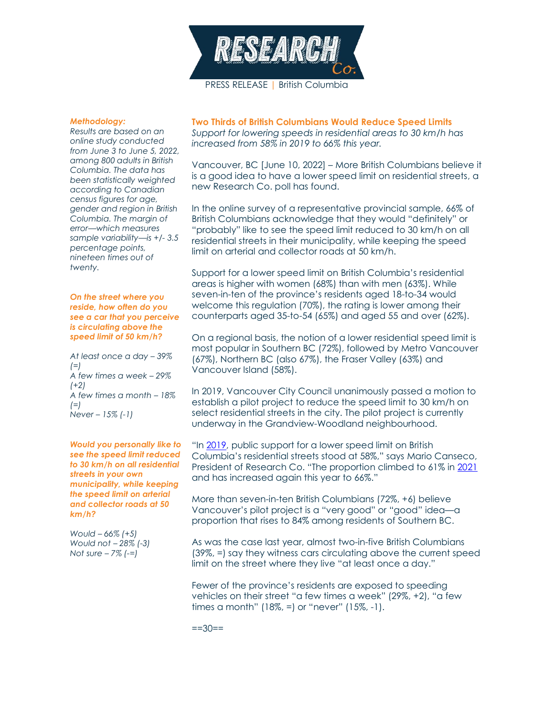

## *Methodology:*

*Results are based on an online study conducted from June 3 to June 5, 2022, among 800 adults in British Columbia. The data has been statistically weighted according to Canadian census figures for age, gender and region in British Columbia. The margin of error—which measures sample variability—is +/- 3.5 percentage points, nineteen times out of twenty.*

## *On the street where you reside, how often do you see a car that you perceive is circulating above the speed limit of 50 km/h?*

*At least once a day – 39% (=) A few times a week – 29% (+2) A few times a month – 18% (=) Never – 15% (-1)*

*Would you personally like to see the speed limit reduced to 30 km/h on all residential streets in your own municipality, while keeping the speed limit on arterial and collector roads at 50 km/h?*

*Would – 66% (+5) Would not – 28% (-3) Not sure – 7% (-=)*

**Two Thirds of British Columbians Would Reduce Speed Limits** *Support for lowering speeds in residential areas to 30 km/h has increased from 58% in 2019 to 66% this year.*

Vancouver, BC [June 10, 2022] – More British Columbians believe it is a good idea to have a lower speed limit on residential streets, a new Research Co. poll has found.

In the online survey of a representative provincial sample, 66% of British Columbians acknowledge that they would "definitely" or "probably" like to see the speed limit reduced to 30 km/h on all residential streets in their municipality, while keeping the speed limit on arterial and collector roads at 50 km/h.

Support for a lower speed limit on British Columbia's residential areas is higher with women (68%) than with men (63%). While seven-in-ten of the province's residents aged 18-to-34 would welcome this regulation (70%), the rating is lower among their counterparts aged 35-to-54 (65%) and aged 55 and over (62%).

On a regional basis, the notion of a lower residential speed limit is most popular in Southern BC (72%), followed by Metro Vancouver (67%), Northern BC (also 67%), the Fraser Valley (63%) and Vancouver Island (58%).

In 2019, Vancouver City Council unanimously passed a motion to establish a pilot project to reduce the speed limit to 30 km/h on select residential streets in the city. The pilot project is currently underway in the Grandview-Woodland neighbourhood.

"In [2019,](https://researchco.ca/2019/06/07/and-i-cant-get-my-car-out-of-second-gear/) public support for a lower speed limit on British Columbia's residential streets stood at 58%," says Mario Canseco, President of Research Co. "The proportion climbed to 61% in [2021](https://researchco.ca/2021/06/15/speed-bc/) and has increased again this year to 66%."

More than seven-in-ten British Columbians (72%, +6) believe Vancouver's pilot project is a "very good" or "good" idea—a proportion that rises to 84% among residents of Southern BC.

As was the case last year, almost two-in-five British Columbians (39%, =) say they witness cars circulating above the current speed limit on the street where they live "at least once a day."

Fewer of the province's residents are exposed to speeding vehicles on their street "a few times a week" (29%, +2), "a few times a month" (18%, =) or "never" (15%, -1).

 $==30==$